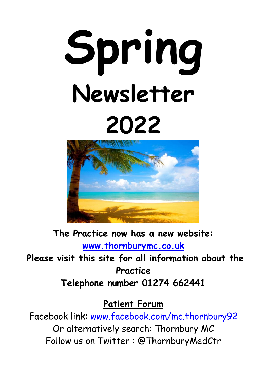# **Spring Newsletter 2022**



**The Practice now has a new website: [www.thornburymc.co.uk](http://www.thornburymc.co.uk/) Please visit this site for all information about the Practice Telephone number 01274 662441**

**Patient Forum**

Facebook link: [www.facebook.com/mc.thornbury92](http://www.facebook.com/mc.thornbury92) Or alternatively search: Thornbury MC Follow us on Twitter : @ThornburyMedCtr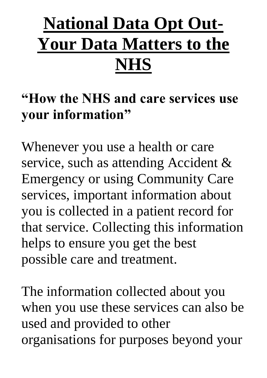## **National Data Opt Out-Your Data Matters to the NHS**

### **"How the NHS and care services use your information"**

Whenever you use a health or care service, such as attending Accident & Emergency or using Community Care services, important information about you is collected in a patient record for that service. Collecting this information helps to ensure you get the best possible care and treatment.

The information collected about you when you use these services can also be used and provided to other organisations for purposes beyond your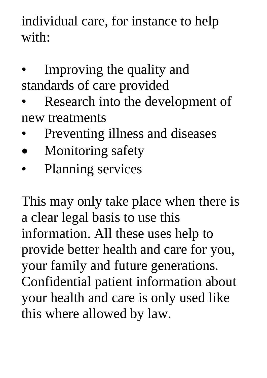individual care, for instance to help with:

- Improving the quality and standards of care provided
- Research into the development of new treatments
- Preventing illness and diseases
- Monitoring safety
- Planning services

This may only take place when there is a clear legal basis to use this information. All these uses help to provide better health and care for you, your family and future generations. Confidential patient information about your health and care is only used like this where allowed by law.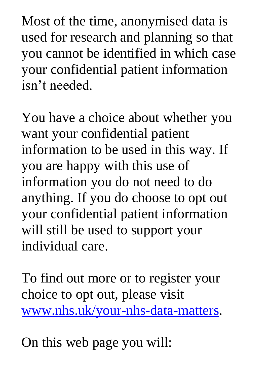Most of the time, anonymised data is used for research and planning so that you cannot be identified in which case your confidential patient information isn't needed.

You have a choice about whether you want your confidential patient information to be used in this way. If you are happy with this use of information you do not need to do anything. If you do choose to opt out your confidential patient information will still be used to support your individual care.

To find out more or to register your choice to opt out, please visit [www.nhs.uk/your-nhs-data-matters.](http://www.nhs.uk/your-nhs-data-matters)

On this web page you will: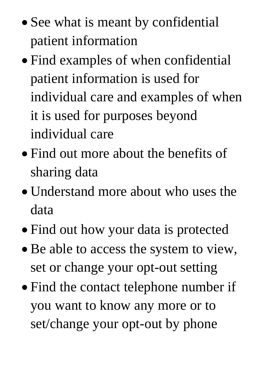- See what is meant by confidential patient information
- Find examples of when confidential patient information is used for individual care and examples of when it is used for purposes beyond individual care
- Find out more about the benefits of sharing data
- Understand more about who uses the data
- Find out how your data is protected
- Be able to access the system to view, set or change your opt-out setting
- Find the contact telephone number if you want to know any more or to set/change your opt-out by phone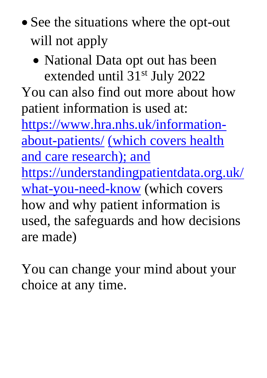- See the situations where the opt-out will not apply
	- National Data opt out has been extended until 31st July 2022

You can also find out more about how patient information is used at:

[https://www.hra.nhs.uk/information](https://www.hra.nhs.uk/information-about-patients/)[about-patients/](https://www.hra.nhs.uk/information-about-patients/) (which covers health and care research); and [https://understandingpatientdata.org.uk/](https://understandingpatientdata.org.uk/what-you-need-know) [what-you-need-know](https://understandingpatientdata.org.uk/what-you-need-know) (which covers how and why patient information is used, the safeguards and how decisions are made)

You can change your mind about your choice at any time.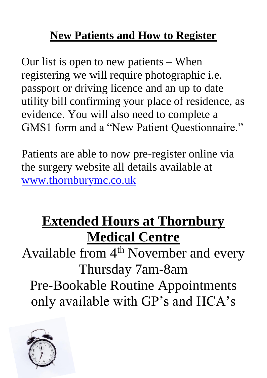#### **New Patients and How to Register**

Our list is open to new patients – When registering we will require photographic i.e. passport or driving licence and an up to date utility bill confirming your place of residence, as evidence. You will also need to complete a GMS1 form and a "New Patient Questionnaire."

Patients are able to now pre-register online via the surgery website all details available at [www.thornburymc.co.uk](http://www.thornburymc.co.uk/)

## **Extended Hours at Thornbury Medical Centre**

Available from 4<sup>th</sup> November and every Thursday 7am-8am Pre-Bookable Routine Appointments only available with GP's and HCA's

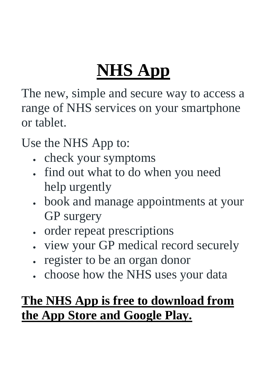## **NHS App**

The new, simple and secure way to access a range of NHS services on your smartphone or tablet.

Use the NHS App to:

- check your symptoms
- find out what to do when you need help urgently
- book and manage appointments at your GP surgery
- order repeat prescriptions
- view your GP medical record securely
- register to be an organ donor
- choose how the NHS uses your data

#### **The NHS App is free to download from the App Store and Google Play.**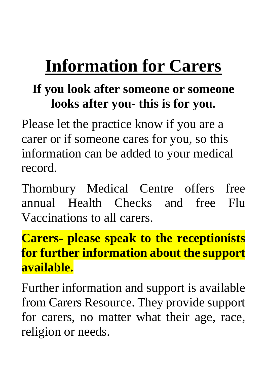## **Information for Carers**

#### **If you look after someone or someone looks after you- this is for you.**

Please let the practice know if you are a carer or if someone cares for you, so this information can be added to your medical record.

Thornbury Medical Centre offers free annual Health Checks and free Flu Vaccinations to all carers.

#### **Carers- please speak to the receptionists for further information about the support available.**

Further information and support is available from Carers Resource. They provide support for carers, no matter what their age, race, religion or needs.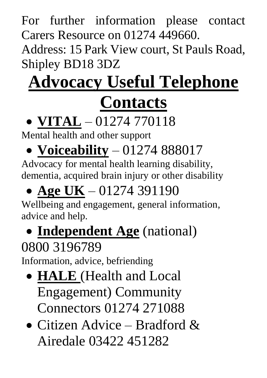For further information please contact Carers Resource on 01274 449660.

Address: 15 Park View court, St Pauls Road, Shipley BD18 3DZ

## **Advocacy Useful Telephone**

## **Contacts**

## • **VITAL** – 01274 770118

Mental health and other support

## • **Voiceability** – 01274 888017

Advocacy for mental health learning disability, dementia, acquired brain injury or other disability

## • **Age UK** – 01274 391190

Wellbeing and engagement, general information, advice and help.

## • **Independent Age** (national)

### 0800 3196789

Information, advice, befriending

- **HALE** (Health and Local Engagement) Community Connectors 01274 271088
- Citizen Advice Bradford & Airedale 03422 451282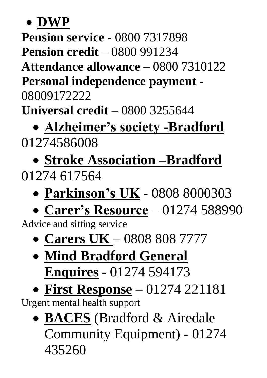• **DWP** 

**Pension service** - 0800 7317898

**Pension credit** – 0800 991234

**Attendance allowance** – 0800 7310122

**Personal independence payment** -

08009172222

**Universal credit** – 0800 3255644

## • **Alzheimer's society -Bradford** 01274586008

## • **Stroke Association –Bradford** 01274 617564

- **Parkinson's UK** 0808 8000303
- **Carer's Resource** 01274 588990

Advice and sitting service

- **Carers UK**  0808 808 7777
- **Mind Bradford General Enquires** - 01274 594173
- **First Response** 01274 221181

Urgent mental health support

• **BACES** (Bradford & Airedale Community Equipment) - 01274 435260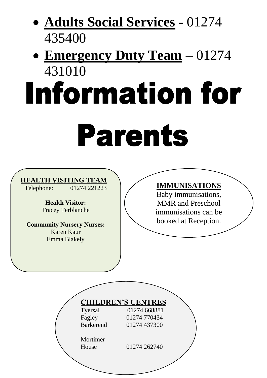## • **Adults Social Services** - 01274 435400

## • **Emergency Duty Team** – 01274 431010

# **Information for Parents**

#### **HEALTH VISITING TEAM**<br>
Telephone: 01274 221223

01274 221223

**Health Visitor:** Tracey Terblanche

**Community Nursery Nurses:** Karen Kaur Emma Blakely

#### **IMMUNISATIONS**

Baby immunisations, MMR and Preschool immunisations can be booked at Reception.

|                  | <b>CHILDREN'S CENTRES</b> |  |
|------------------|---------------------------|--|
| Tyersal          | 01274 668881              |  |
| Fagley           | 01274 770434              |  |
| <b>Barkerend</b> | 01274 437300              |  |
| Mortimer         |                           |  |
| House            | 01274 262740              |  |
|                  |                           |  |